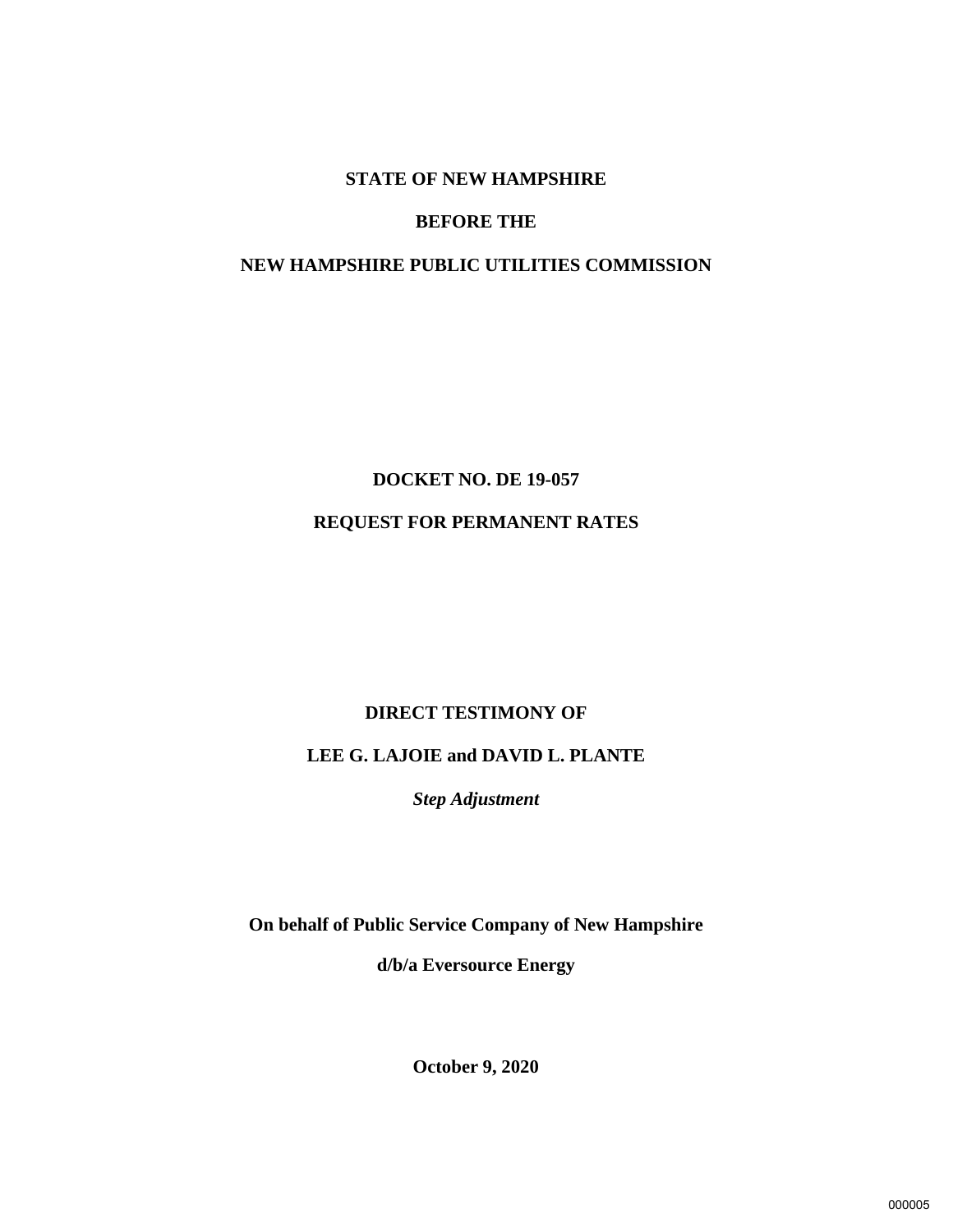#### **STATE OF NEW HAMPSHIRE**

#### **BEFORE THE**

## **NEW HAMPSHIRE PUBLIC UTILITIES COMMISSION**

# **DOCKET NO. DE 19-057 REQUEST FOR PERMANENT RATES**

## **DIRECT TESTIMONY OF**

# **LEE G. LAJOIE and DAVID L. PLANTE**

*Step Adjustment*

**On behalf of Public Service Company of New Hampshire** 

**d/b/a Eversource Energy**

**October 9, 2020**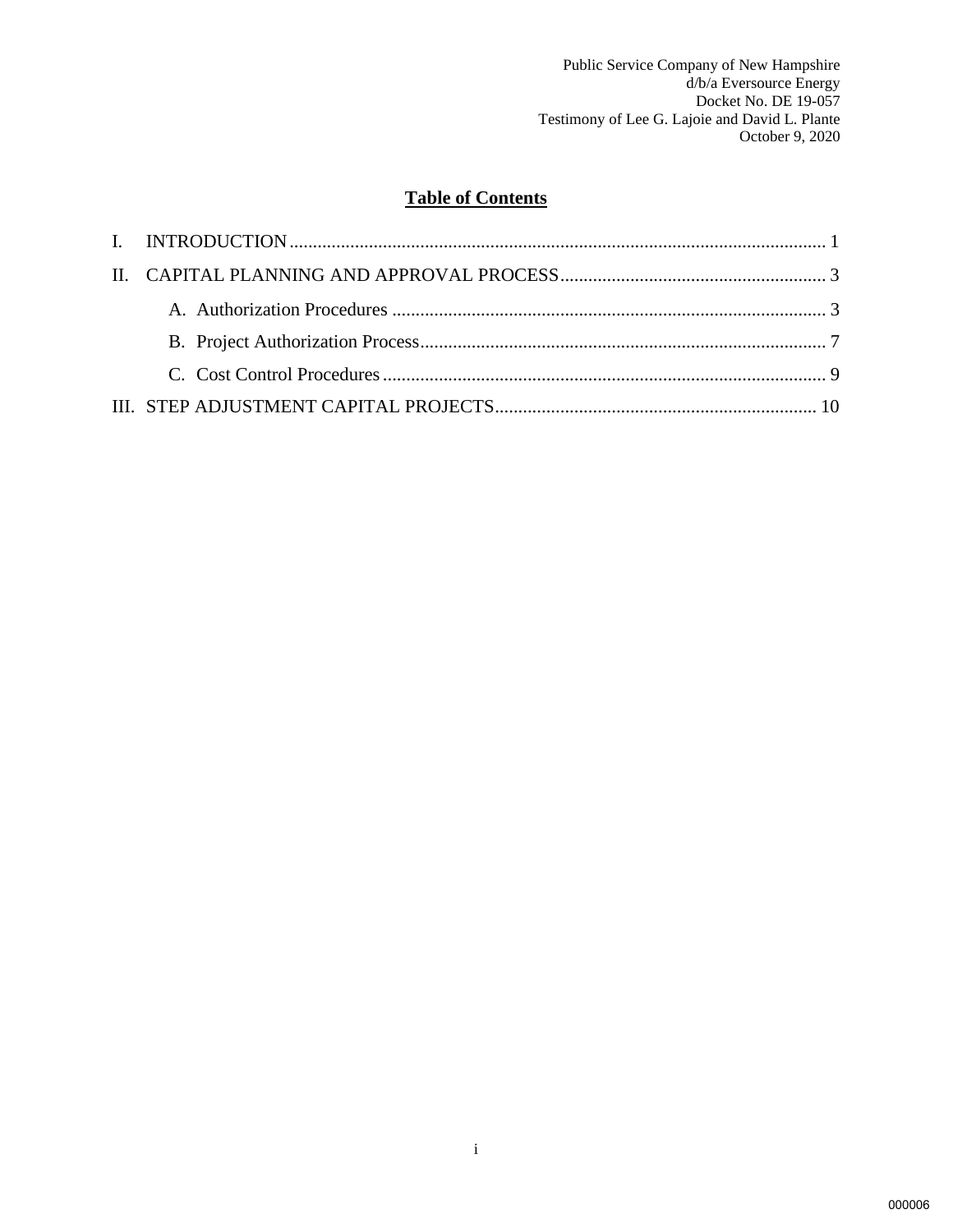# **Table of Contents**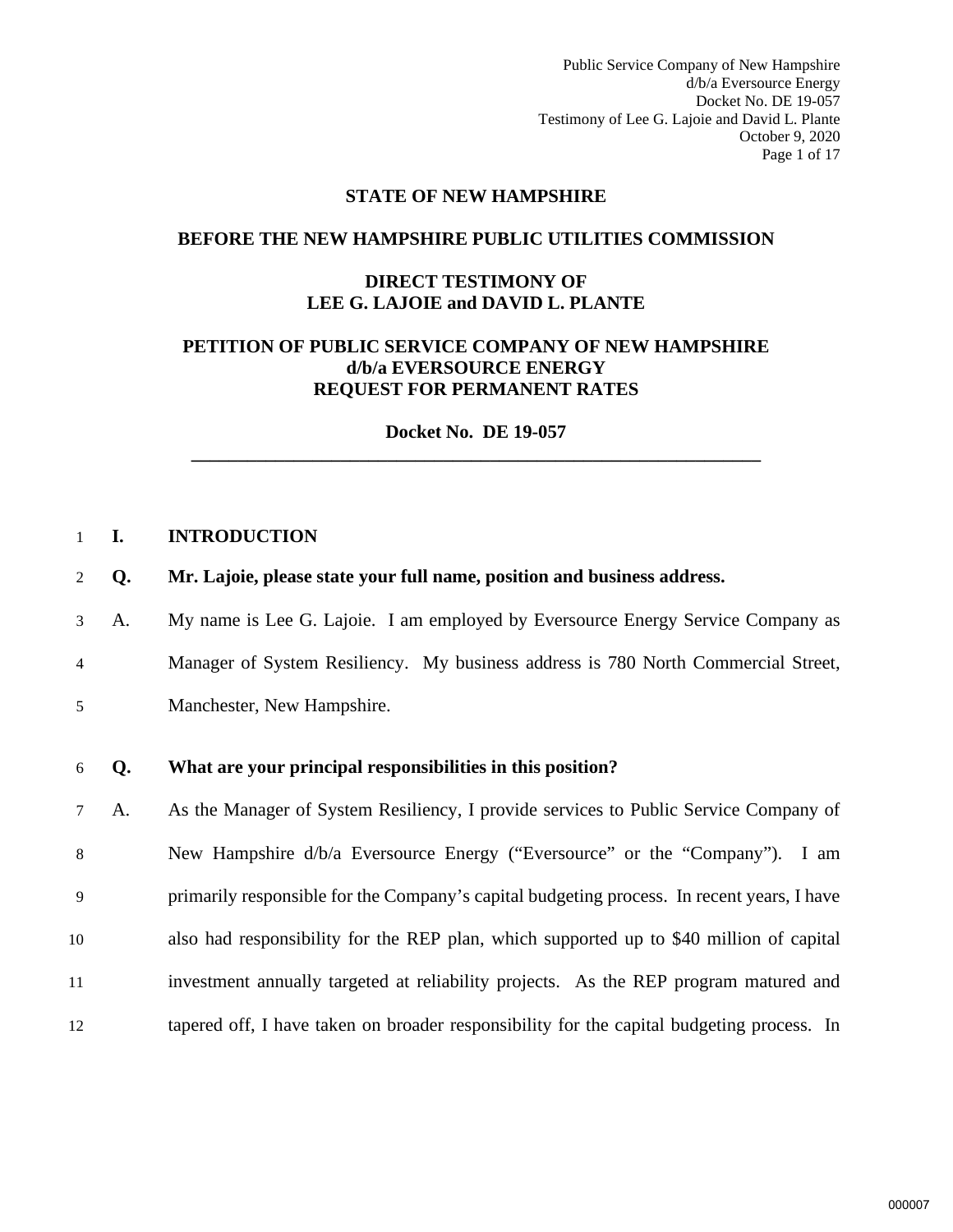Public Service Company of New Hampshire d/b/a Eversource Energy Docket No. DE 19-057 Testimony of Lee G. Lajoie and David L. Plante October 9, 2020 Page 1 of 17

#### **STATE OF NEW HAMPSHIRE**

#### **BEFORE THE NEW HAMPSHIRE PUBLIC UTILITIES COMMISSION**

#### **DIRECT TESTIMONY OF LEE G. LAJOIE and DAVID L. PLANTE**

#### **PETITION OF PUBLIC SERVICE COMPANY OF NEW HAMPSHIRE d/b/a EVERSOURCE ENERGY REQUEST FOR PERMANENT RATES**

**Docket No. DE 19-057 \_\_\_\_\_\_\_\_\_\_\_\_\_\_\_\_\_\_\_\_\_\_\_\_\_\_\_\_\_\_\_\_\_\_\_\_\_\_\_\_\_\_\_\_\_\_\_\_\_\_\_\_\_\_\_\_\_\_\_\_\_** 

#### <span id="page-2-0"></span>1 **I. INTRODUCTION**

- 2 **Q. Mr. Lajoie, please state your full name, position and business address.**
- 3 A. My name is Lee G. Lajoie. I am employed by Eversource Energy Service Company as 4 Manager of System Resiliency. My business address is 780 North Commercial Street, 5 Manchester, New Hampshire.

#### 6 **Q. What are your principal responsibilities in this position?**

7 A. As the Manager of System Resiliency, I provide services to Public Service Company of 8 New Hampshire d/b/a Eversource Energy ("Eversource" or the "Company"). I am 9 primarily responsible for the Company's capital budgeting process. In recent years, I have 10 also had responsibility for the REP plan, which supported up to \$40 million of capital 11 investment annually targeted at reliability projects. As the REP program matured and 12 tapered off, I have taken on broader responsibility for the capital budgeting process. In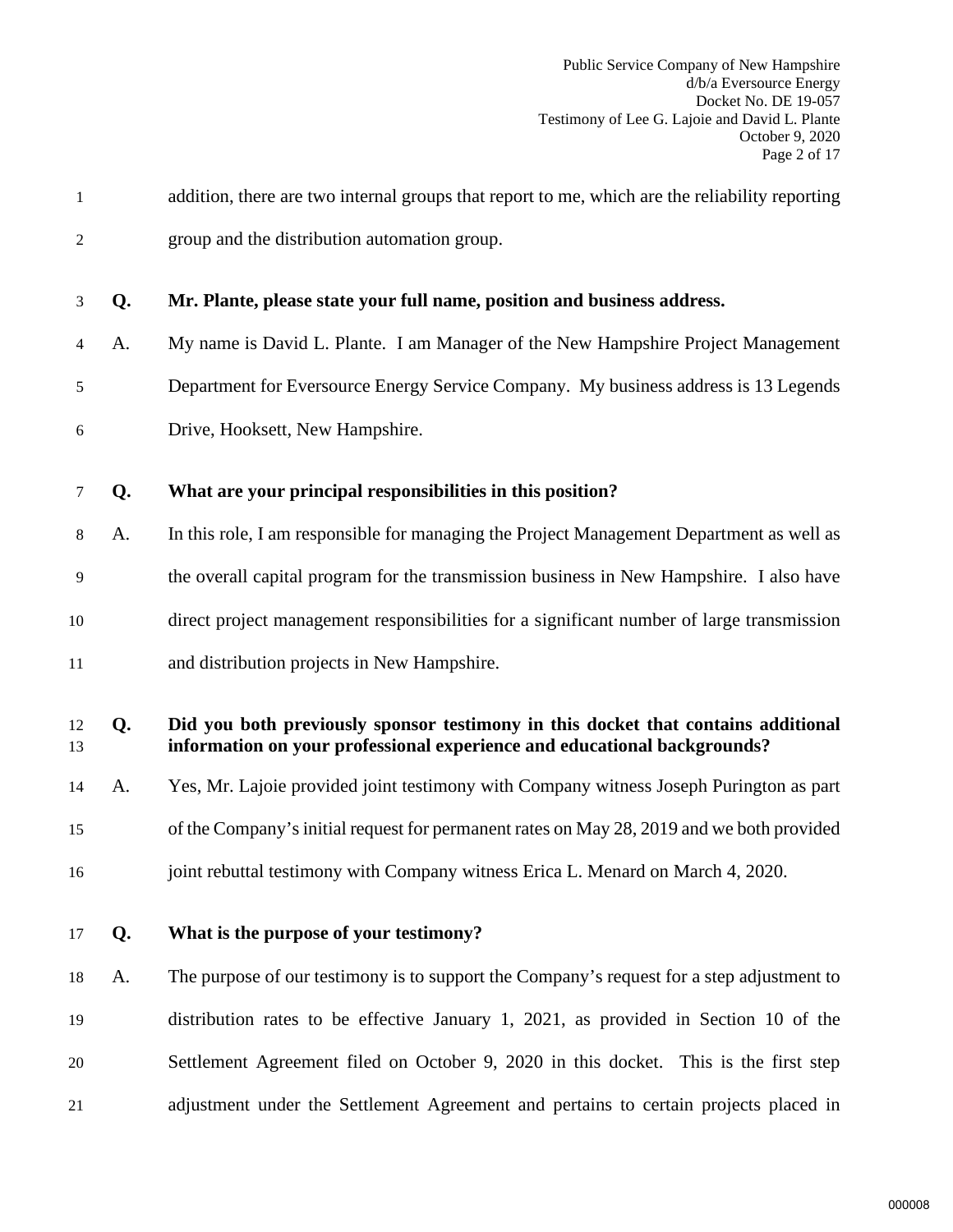| 1              |    | addition, there are two internal groups that report to me, which are the reliability reporting                                                                |
|----------------|----|---------------------------------------------------------------------------------------------------------------------------------------------------------------|
| $\overline{2}$ |    | group and the distribution automation group.                                                                                                                  |
| 3              | Q. | Mr. Plante, please state your full name, position and business address.                                                                                       |
| 4              | A. | My name is David L. Plante. I am Manager of the New Hampshire Project Management                                                                              |
| 5              |    | Department for Eversource Energy Service Company. My business address is 13 Legends                                                                           |
| 6              |    | Drive, Hooksett, New Hampshire.                                                                                                                               |
| 7              | Q. | What are your principal responsibilities in this position?                                                                                                    |
| 8              | A. | In this role, I am responsible for managing the Project Management Department as well as                                                                      |
| 9              |    | the overall capital program for the transmission business in New Hampshire. I also have                                                                       |
| 10             |    | direct project management responsibilities for a significant number of large transmission                                                                     |
| 11             |    | and distribution projects in New Hampshire.                                                                                                                   |
| 12<br>13       | Q. | Did you both previously sponsor testimony in this docket that contains additional<br>information on your professional experience and educational backgrounds? |
| 14             | A. | Yes, Mr. Lajoie provided joint testimony with Company witness Joseph Purington as part                                                                        |
| 15             |    | of the Company's initial request for permanent rates on May 28, 2019 and we both provided                                                                     |
| 16             |    | joint rebuttal testimony with Company witness Erica L. Menard on March 4, 2020.                                                                               |
| 17             | Q. | What is the purpose of your testimony?                                                                                                                        |
| 18             | A. | The purpose of our testimony is to support the Company's request for a step adjustment to                                                                     |
| 19             |    | distribution rates to be effective January 1, 2021, as provided in Section 10 of the                                                                          |
| 20             |    | Settlement Agreement filed on October 9, 2020 in this docket. This is the first step                                                                          |
| 21             |    | adjustment under the Settlement Agreement and pertains to certain projects placed in                                                                          |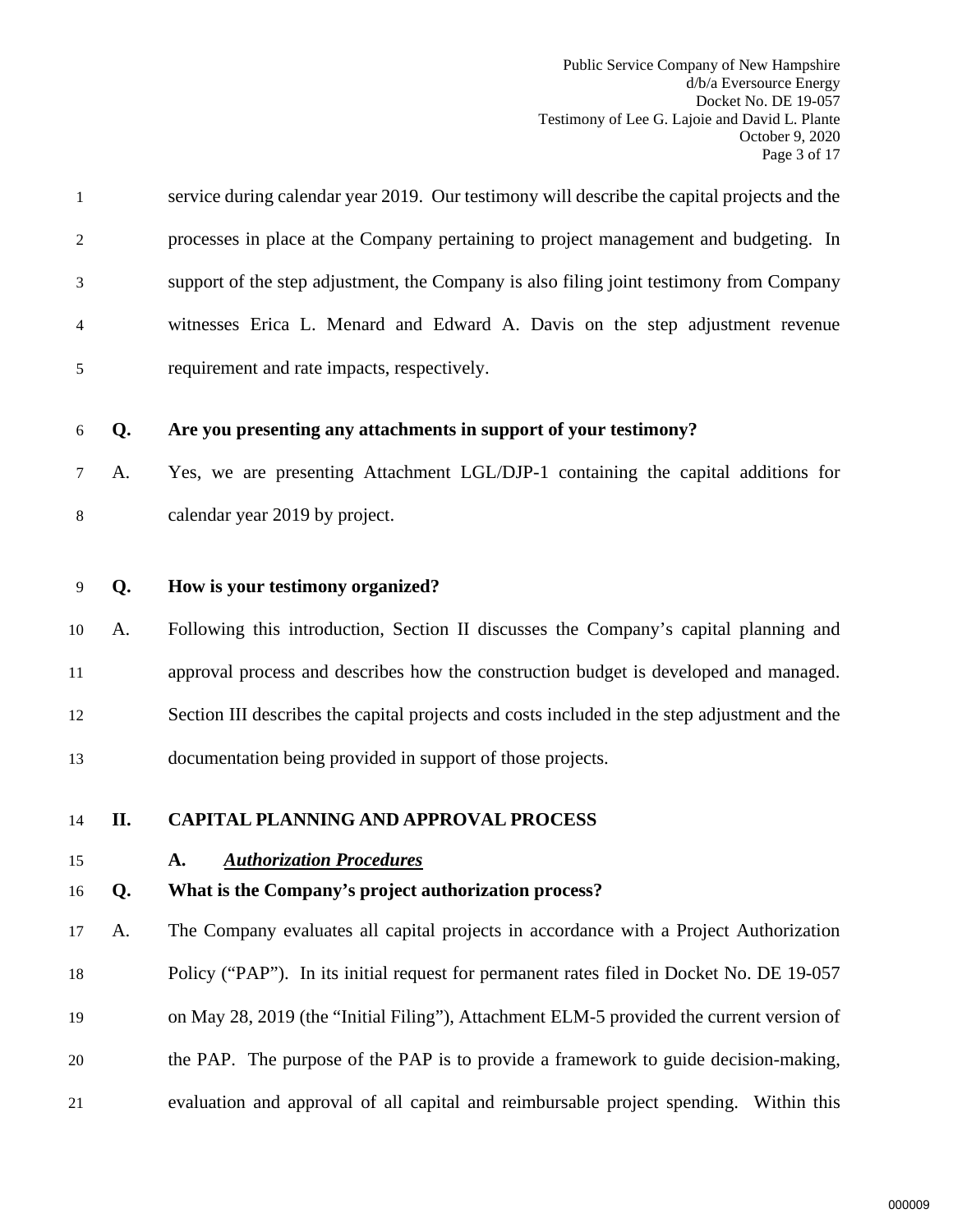<span id="page-4-1"></span><span id="page-4-0"></span>

| $\mathbf{1}$   |     | service during calendar year 2019. Our testimony will describe the capital projects and the  |
|----------------|-----|----------------------------------------------------------------------------------------------|
| 2              |     | processes in place at the Company pertaining to project management and budgeting. In         |
| 3              |     | support of the step adjustment, the Company is also filing joint testimony from Company      |
| 4              |     | witnesses Erica L. Menard and Edward A. Davis on the step adjustment revenue                 |
| 5              |     | requirement and rate impacts, respectively.                                                  |
| 6              | Q.  | Are you presenting any attachments in support of your testimony?                             |
| 7              | A.  | Yes, we are presenting Attachment LGL/DJP-1 containing the capital additions for             |
| $8\phantom{1}$ |     | calendar year 2019 by project.                                                               |
| 9              | Q.  | How is your testimony organized?                                                             |
| 10             | A.  | Following this introduction, Section II discusses the Company's capital planning and         |
|                |     |                                                                                              |
| 11             |     | approval process and describes how the construction budget is developed and managed.         |
| 12             |     | Section III describes the capital projects and costs included in the step adjustment and the |
| 13             |     | documentation being provided in support of those projects.                                   |
| 14             | II. | <b>CAPITAL PLANNING AND APPROVAL PROCESS</b>                                                 |
| 15             |     | <b>Authorization Procedures</b><br>A.                                                        |
| 16             | Q.  | What is the Company's project authorization process?                                         |
| 17             | A.  | The Company evaluates all capital projects in accordance with a Project Authorization        |
| 18             |     | Policy ("PAP"). In its initial request for permanent rates filed in Docket No. DE 19-057     |
| 19             |     | on May 28, 2019 (the "Initial Filing"), Attachment ELM-5 provided the current version of     |
| 20             |     | the PAP. The purpose of the PAP is to provide a framework to guide decision-making,          |
| 21             |     | evaluation and approval of all capital and reimbursable project spending. Within this        |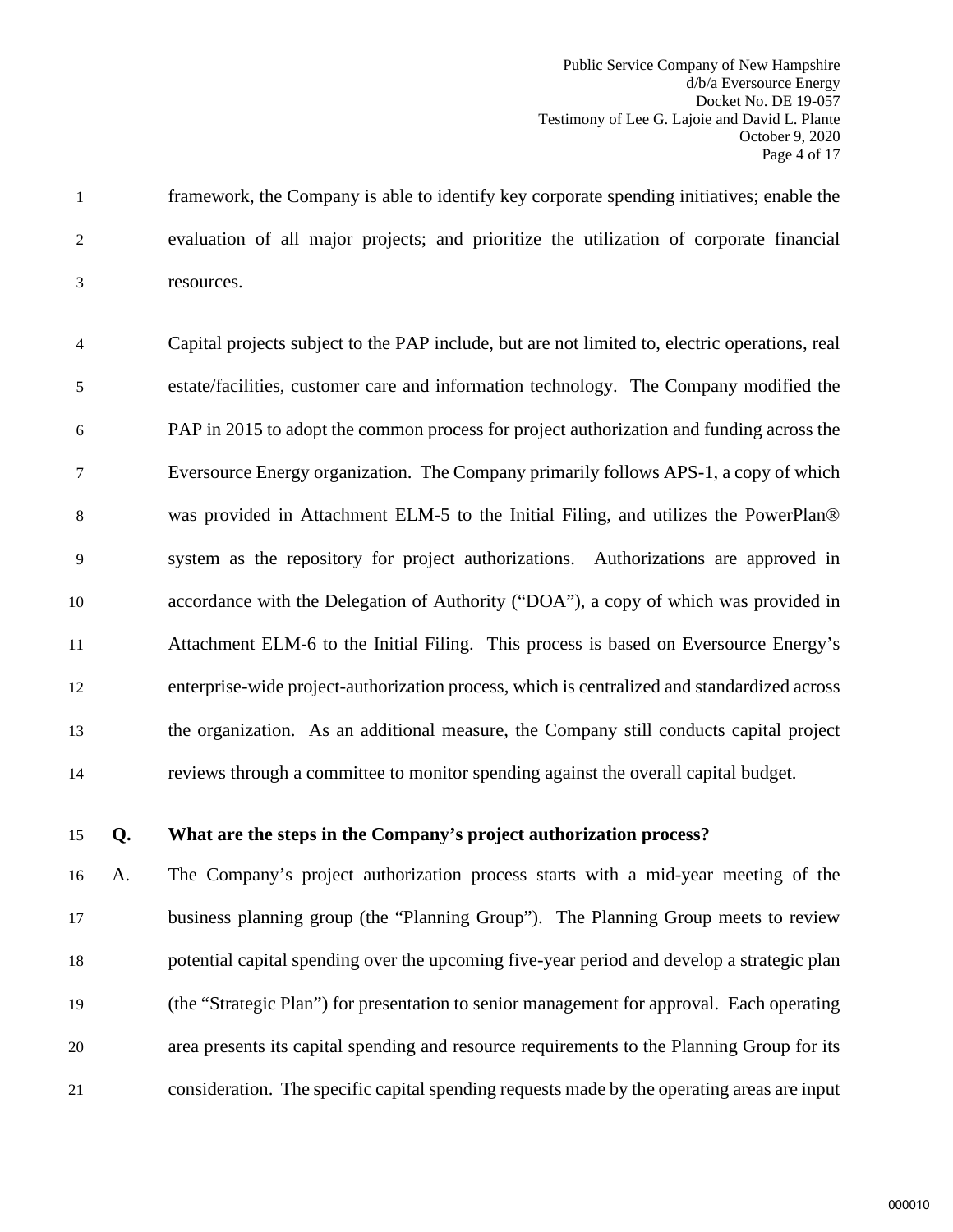1 framework, the Company is able to identify key corporate spending initiatives; enable the 2 evaluation of all major projects; and prioritize the utilization of corporate financial 3 resources.

4 Capital projects subject to the PAP include, but are not limited to, electric operations, real 5 estate/facilities, customer care and information technology. The Company modified the 6 PAP in 2015 to adopt the common process for project authorization and funding across the 7 Eversource Energy organization. The Company primarily follows APS-1, a copy of which 8 was provided in Attachment ELM-5 to the Initial Filing, and utilizes the PowerPlan® 9 system as the repository for project authorizations. Authorizations are approved in 10 accordance with the Delegation of Authority ("DOA"), a copy of which was provided in 11 Attachment ELM-6 to the Initial Filing. This process is based on Eversource Energy's 12 enterprise-wide project-authorization process, which is centralized and standardized across 13 the organization. As an additional measure, the Company still conducts capital project 14 reviews through a committee to monitor spending against the overall capital budget.

# 15 **Q. What are the steps in the Company's project authorization process?**

 A. The Company's project authorization process starts with a mid-year meeting of the business planning group (the "Planning Group"). The Planning Group meets to review potential capital spending over the upcoming five-year period and develop a strategic plan (the "Strategic Plan") for presentation to senior management for approval. Each operating area presents its capital spending and resource requirements to the Planning Group for its consideration. The specific capital spending requests made by the operating areas are input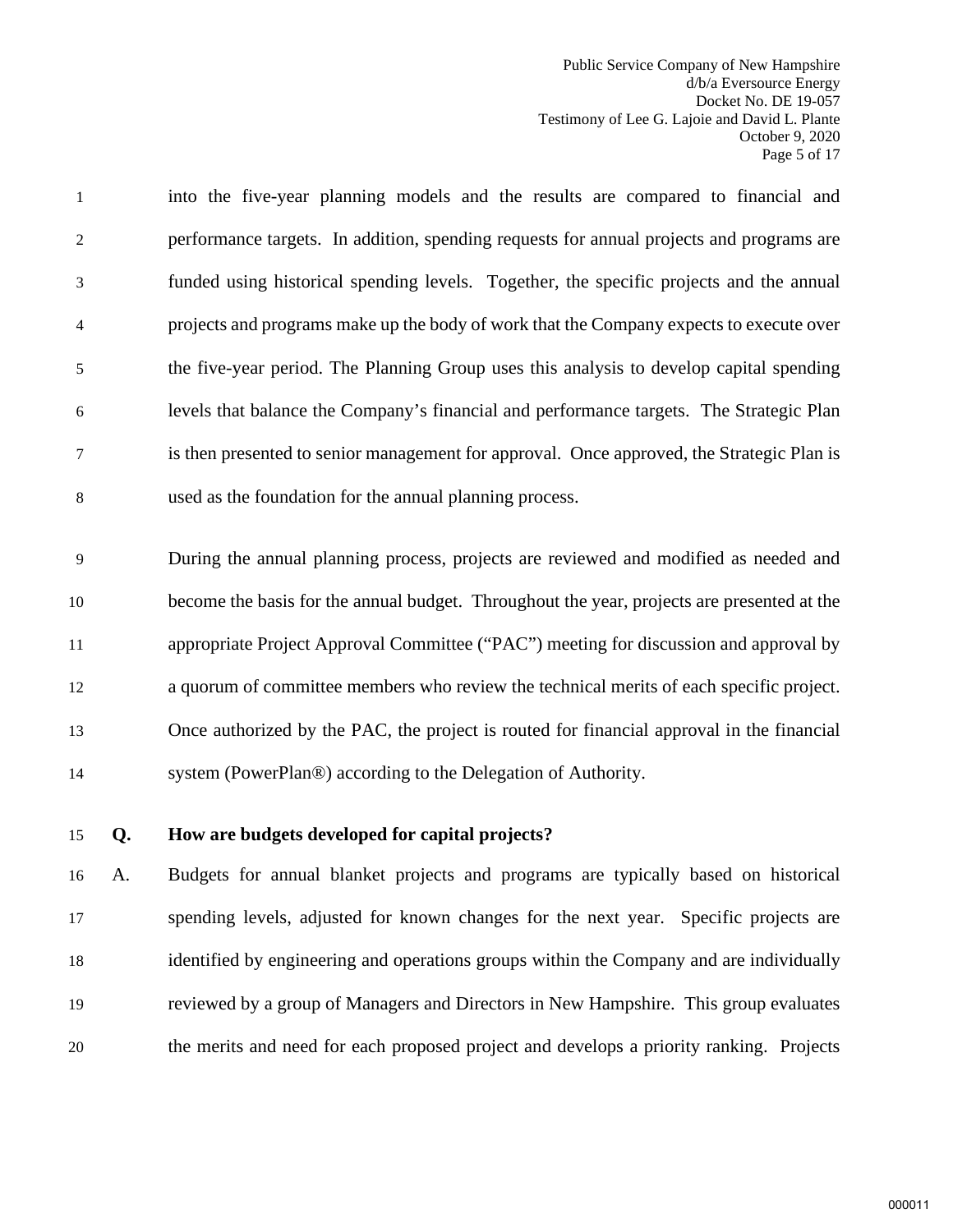Public Service Company of New Hampshire d/b/a Eversource Energy Docket No. DE 19-057 Testimony of Lee G. Lajoie and David L. Plante October 9, 2020 Page 5 of 17

1 into the five-year planning models and the results are compared to financial and 2 performance targets. In addition, spending requests for annual projects and programs are 3 funded using historical spending levels. Together, the specific projects and the annual 4 projects and programs make up the body of work that the Company expects to execute over 5 the five-year period. The Planning Group uses this analysis to develop capital spending 6 levels that balance the Company's financial and performance targets. The Strategic Plan 7 is then presented to senior management for approval. Once approved, the Strategic Plan is 8 used as the foundation for the annual planning process.

9 During the annual planning process, projects are reviewed and modified as needed and become the basis for the annual budget. Throughout the year, projects are presented at the appropriate Project Approval Committee ("PAC") meeting for discussion and approval by a quorum of committee members who review the technical merits of each specific project. Once authorized by the PAC, the project is routed for financial approval in the financial system (PowerPlan®) according to the Delegation of Authority.

#### 15 **Q. How are budgets developed for capital projects?**

 A. Budgets for annual blanket projects and programs are typically based on historical spending levels, adjusted for known changes for the next year. Specific projects are identified by engineering and operations groups within the Company and are individually reviewed by a group of Managers and Directors in New Hampshire. This group evaluates the merits and need for each proposed project and develops a priority ranking. Projects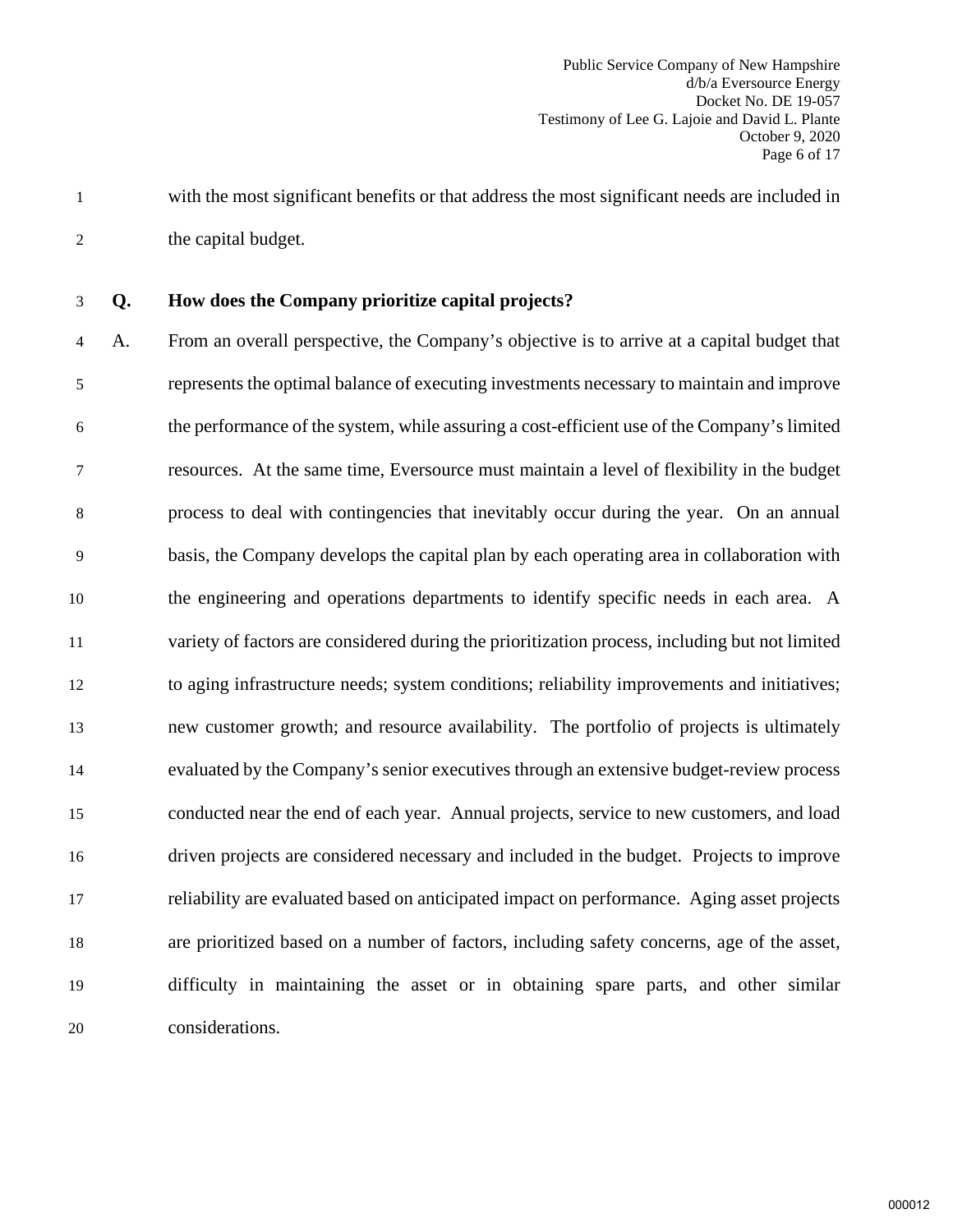1 with the most significant benefits or that address the most significant needs are included in 2 the capital budget.

3 **Q. How does the Company prioritize capital projects?**

4 A. From an overall perspective, the Company's objective is to arrive at a capital budget that 5 represents the optimal balance of executing investments necessary to maintain and improve 6 the performance of the system, while assuring a cost-efficient use of the Company's limited 7 resources. At the same time, Eversource must maintain a level of flexibility in the budget 8 process to deal with contingencies that inevitably occur during the year. On an annual 9 basis, the Company develops the capital plan by each operating area in collaboration with the engineering and operations departments to identify specific needs in each area. A variety of factors are considered during the prioritization process, including but not limited to aging infrastructure needs; system conditions; reliability improvements and initiatives; new customer growth; and resource availability. The portfolio of projects is ultimately evaluated by the Company's senior executives through an extensive budget-review process conducted near the end of each year. Annual projects, service to new customers, and load driven projects are considered necessary and included in the budget. Projects to improve reliability are evaluated based on anticipated impact on performance. Aging asset projects are prioritized based on a number of factors, including safety concerns, age of the asset, difficulty in maintaining the asset or in obtaining spare parts, and other similar considerations.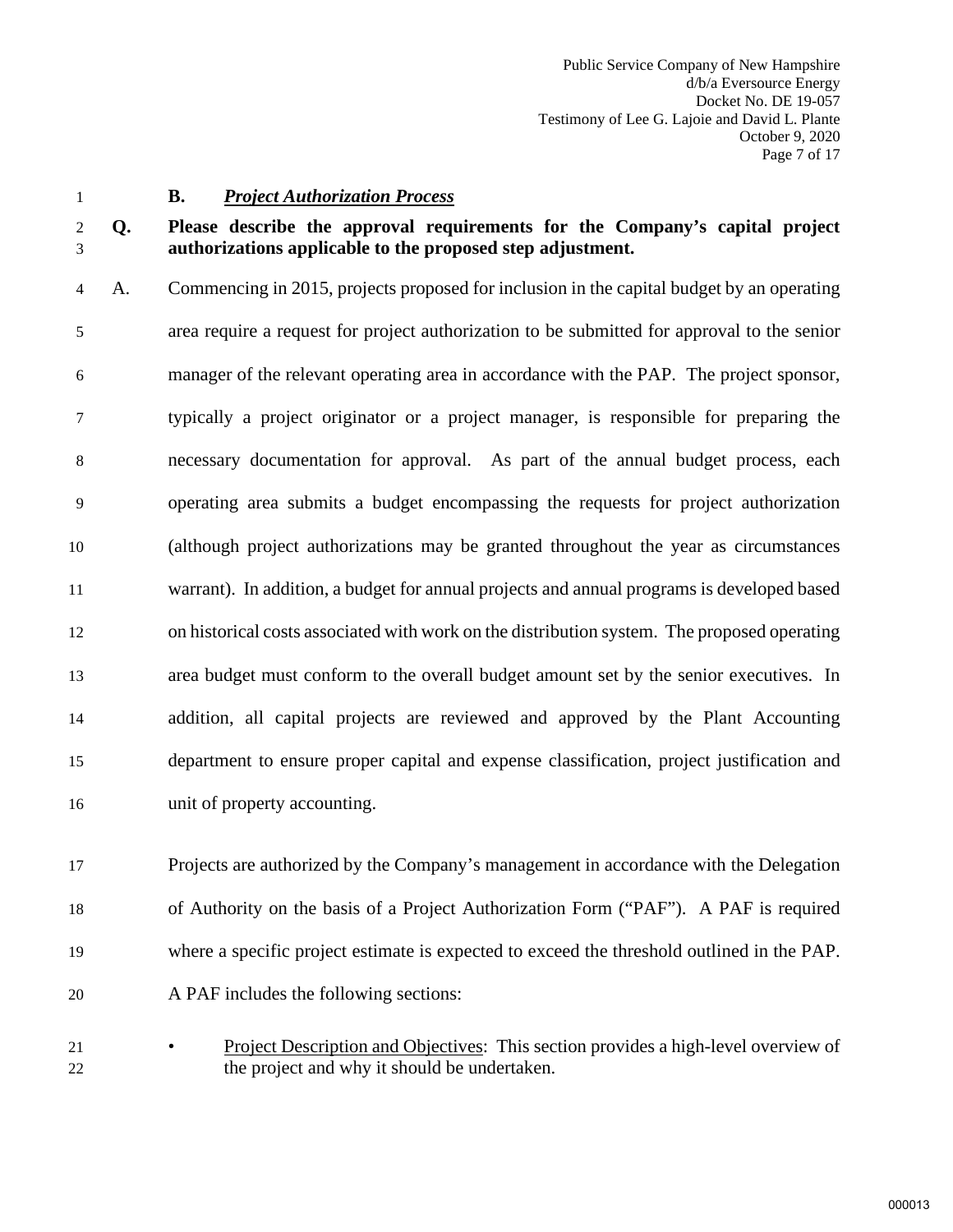# <span id="page-8-0"></span>1 **B.** *Project Authorization Process*

# 2 **Q. Please describe the approval requirements for the Company's capital project**  3 **authorizations applicable to the proposed step adjustment.**

4 A. Commencing in 2015, projects proposed for inclusion in the capital budget by an operating 5 area require a request for project authorization to be submitted for approval to the senior 6 manager of the relevant operating area in accordance with the PAP. The project sponsor, 7 typically a project originator or a project manager, is responsible for preparing the 8 necessary documentation for approval. As part of the annual budget process, each 9 operating area submits a budget encompassing the requests for project authorization 10 (although project authorizations may be granted throughout the year as circumstances 11 warrant). In addition, a budget for annual projects and annual programs is developed based 12 on historical costs associated with work on the distribution system. The proposed operating 13 area budget must conform to the overall budget amount set by the senior executives. In 14 addition, all capital projects are reviewed and approved by the Plant Accounting 15 department to ensure proper capital and expense classification, project justification and 16 unit of property accounting.

 Projects are authorized by the Company's management in accordance with the Delegation of Authority on the basis of a Project Authorization Form ("PAF"). A PAF is required where a specific project estimate is expected to exceed the threshold outlined in the PAP. A PAF includes the following sections:

21 • Project Description and Objectives: This section provides a high-level overview of 22 the project and why it should be undertaken.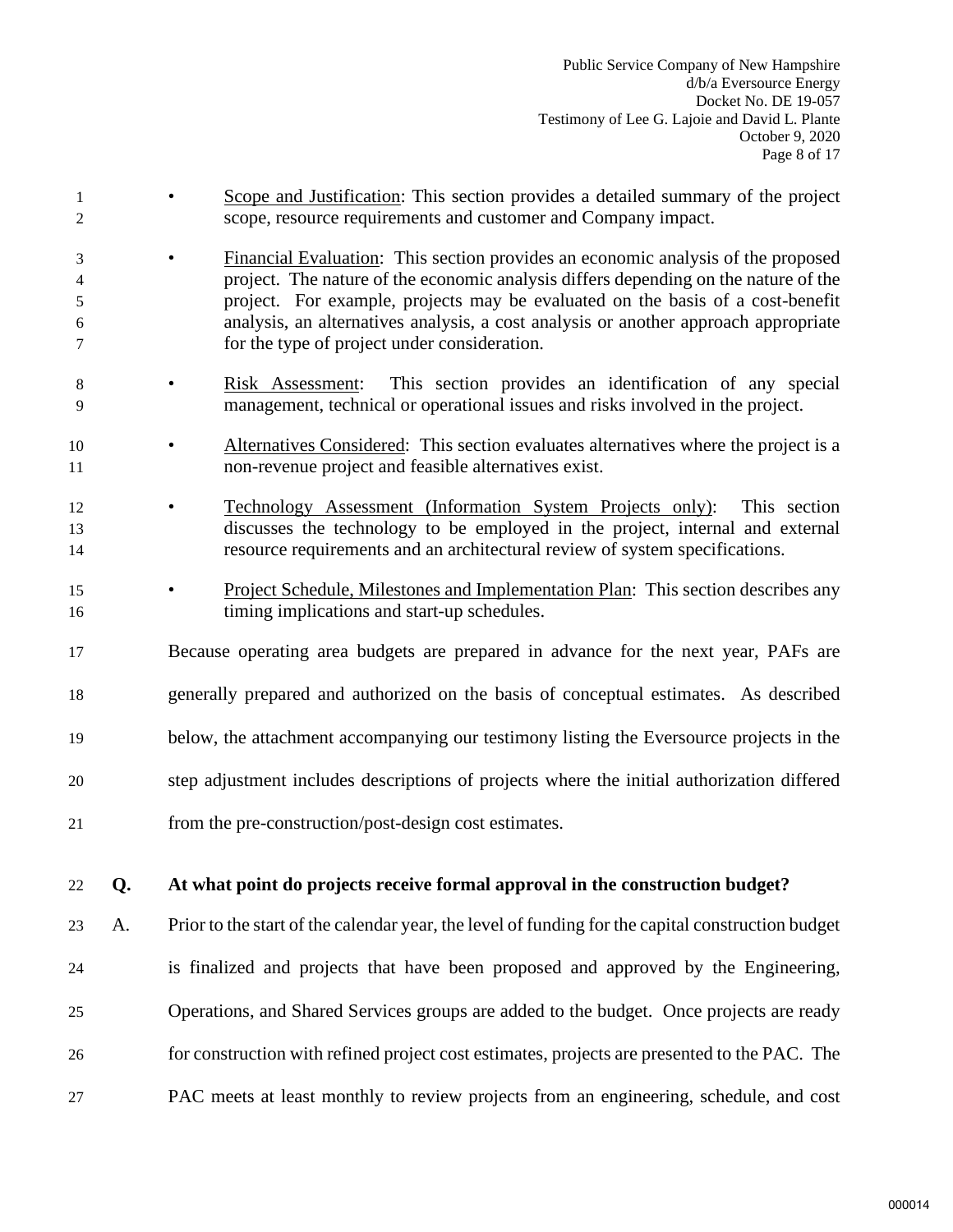- 1 Scope and Justification: This section provides a detailed summary of the project 2 scope, resource requirements and customer and Company impact.
- 3 Financial Evaluation: This section provides an economic analysis of the proposed 4 project. The nature of the economic analysis differs depending on the nature of the 5 project. For example, projects may be evaluated on the basis of a cost-benefit 6 analysis, an alternatives analysis, a cost analysis or another approach appropriate 7 for the type of project under consideration.
- 8 Risk Assessment: This section provides an identification of any special 9 management, technical or operational issues and risks involved in the project.
- 10 Alternatives Considered: This section evaluates alternatives where the project is a 11 non-revenue project and feasible alternatives exist.
- 12 Technology Assessment (Information System Projects only): This section 13 discusses the technology to be employed in the project, internal and external 14 resource requirements and an architectural review of system specifications.
- <sup>15</sup> Project Schedule, Milestones and Implementation Plan: This section describes any 16 timing implications and start-up schedules.
- 17 Because operating area budgets are prepared in advance for the next year, PAFs are
- 18 generally prepared and authorized on the basis of conceptual estimates. As described
- 19 below, the attachment accompanying our testimony listing the Eversource projects in the
- 20 step adjustment includes descriptions of projects where the initial authorization differed
- 21 from the pre-construction/post-design cost estimates.

# 22 **Q. At what point do projects receive formal approval in the construction budget?**

- 23 A. Prior to the start of the calendar year, the level of funding for the capital construction budget 24 is finalized and projects that have been proposed and approved by the Engineering, 25 Operations, and Shared Services groups are added to the budget. Once projects are ready 26 for construction with refined project cost estimates, projects are presented to the PAC. The
- 27 PAC meets at least monthly to review projects from an engineering, schedule, and cost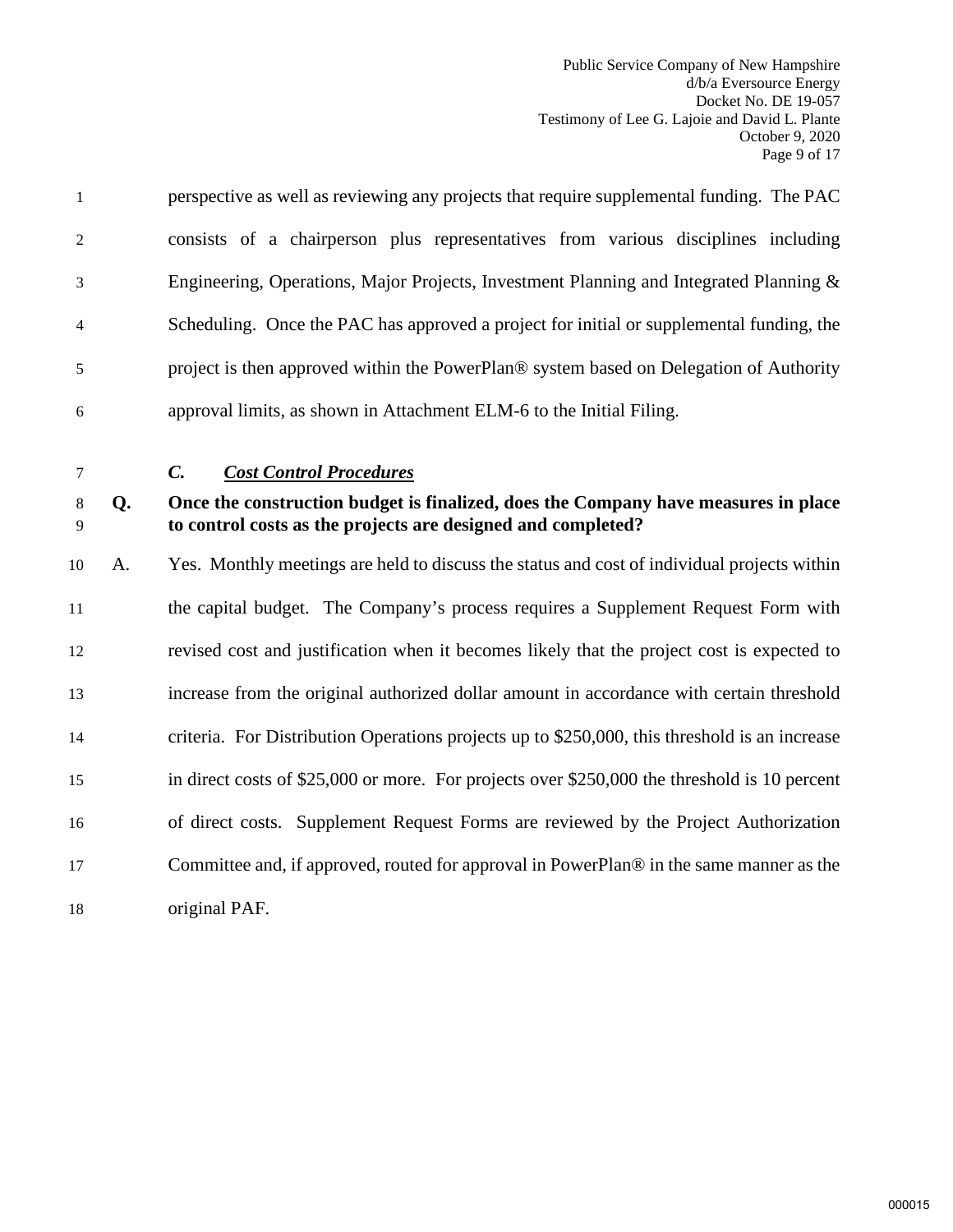Public Service Company of New Hampshire d/b/a Eversource Energy Docket No. DE 19-057 Testimony of Lee G. Lajoie and David L. Plante October 9, 2020 Page 9 of 17

| $\mathbf{1}$ | perspective as well as reviewing any projects that require supplemental funding. The PAC  |
|--------------|-------------------------------------------------------------------------------------------|
| 2            | consists of a chairperson plus representatives from various disciplines including         |
| 3            | Engineering, Operations, Major Projects, Investment Planning and Integrated Planning $\&$ |
| 4            | Scheduling. Once the PAC has approved a project for initial or supplemental funding, the  |
| 5            | project is then approved within the PowerPlan® system based on Delegation of Authority    |
| 6            | approval limits, as shown in Attachment ELM-6 to the Initial Filing.                      |

<span id="page-10-0"></span>

7 *C. Cost Control Procedures* 

## 8 **Q. Once the construction budget is finalized, does the Company have measures in place**  9 **to control costs as the projects are designed and completed?**

 A. Yes. Monthly meetings are held to discuss the status and cost of individual projects within the capital budget. The Company's process requires a Supplement Request Form with revised cost and justification when it becomes likely that the project cost is expected to increase from the original authorized dollar amount in accordance with certain threshold criteria. For Distribution Operations projects up to \$250,000, this threshold is an increase in direct costs of \$25,000 or more. For projects over \$250,000 the threshold is 10 percent of direct costs. Supplement Request Forms are reviewed by the Project Authorization Committee and, if approved, routed for approval in PowerPlan® in the same manner as the original PAF.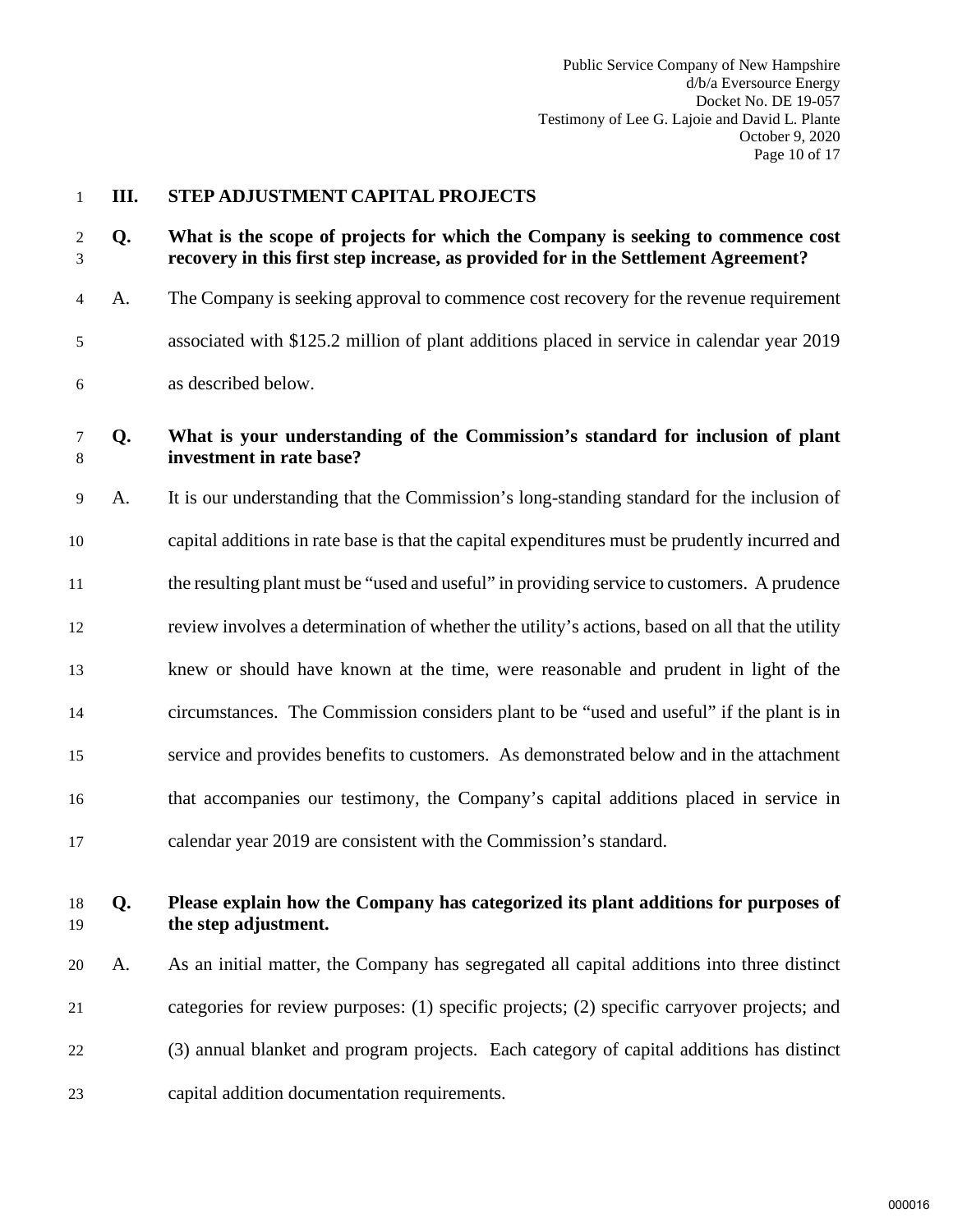#### <span id="page-11-0"></span>**III. STEP ADJUSTMENT CAPITAL PROJECTS**

**Q. What is the scope of projects for which the Company is seeking to commence cost recovery in this first step increase, as provided for in the Settlement Agreement?** 

4 A. The Company is seeking approval to commence cost recovery for the revenue requirement 5 associated with \$125.2 million of plant additions placed in service in calendar year 2019 6 as described below.

#### **Q. What is your understanding of the Commission's standard for inclusion of plant investment in rate base?**

9 A. It is our understanding that the Commission's long-standing standard for the inclusion of capital additions in rate base is that the capital expenditures must be prudently incurred and the resulting plant must be "used and useful" in providing service to customers. A prudence review involves a determination of whether the utility's actions, based on all that the utility knew or should have known at the time, were reasonable and prudent in light of the circumstances. The Commission considers plant to be "used and useful" if the plant is in service and provides benefits to customers. As demonstrated below and in the attachment that accompanies our testimony, the Company's capital additions placed in service in calendar year 2019 are consistent with the Commission's standard.

# **Q. Please explain how the Company has categorized its plant additions for purposes of the step adjustment.**

 A. As an initial matter, the Company has segregated all capital additions into three distinct categories for review purposes: (1) specific projects; (2) specific carryover projects; and (3) annual blanket and program projects. Each category of capital additions has distinct capital addition documentation requirements.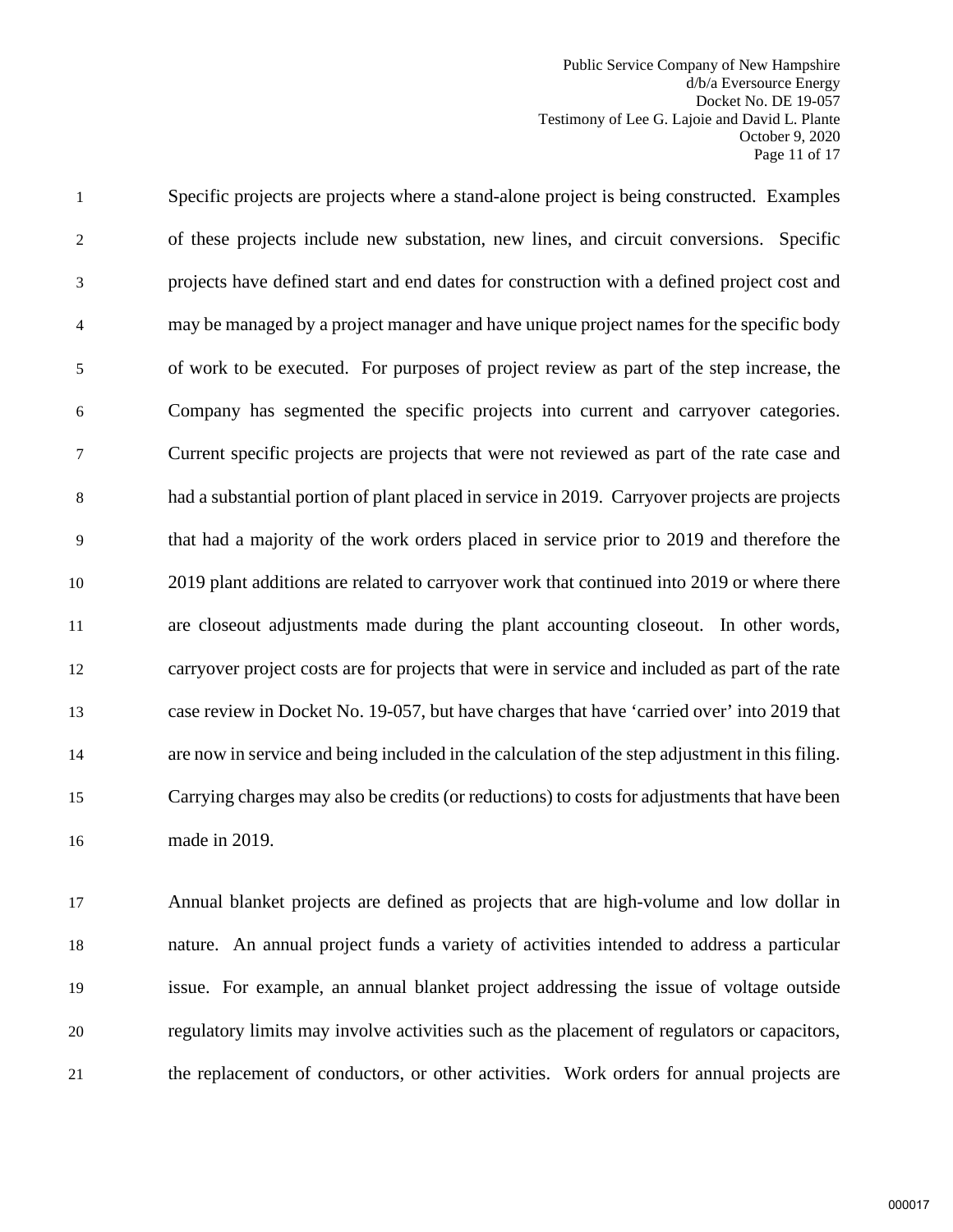Public Service Company of New Hampshire d/b/a Eversource Energy Docket No. DE 19-057 Testimony of Lee G. Lajoie and David L. Plante October 9, 2020 Page 11 of 17

1 Specific projects are projects where a stand-alone project is being constructed. Examples 2 of these projects include new substation, new lines, and circuit conversions. Specific 3 projects have defined start and end dates for construction with a defined project cost and 4 may be managed by a project manager and have unique project names for the specific body 5 of work to be executed. For purposes of project review as part of the step increase, the 6 Company has segmented the specific projects into current and carryover categories. 7 Current specific projects are projects that were not reviewed as part of the rate case and 8 had a substantial portion of plant placed in service in 2019. Carryover projects are projects 9 that had a majority of the work orders placed in service prior to 2019 and therefore the 10 2019 plant additions are related to carryover work that continued into 2019 or where there 11 are closeout adjustments made during the plant accounting closeout. In other words, 12 carryover project costs are for projects that were in service and included as part of the rate 13 case review in Docket No. 19-057, but have charges that have 'carried over' into 2019 that 14 are now in service and being included in the calculation of the step adjustment in this filing. 15 Carrying charges may also be credits (or reductions) to costs for adjustments that have been 16 made in 2019.

 Annual blanket projects are defined as projects that are high-volume and low dollar in nature. An annual project funds a variety of activities intended to address a particular issue. For example, an annual blanket project addressing the issue of voltage outside regulatory limits may involve activities such as the placement of regulators or capacitors, the replacement of conductors, or other activities. Work orders for annual projects are

000017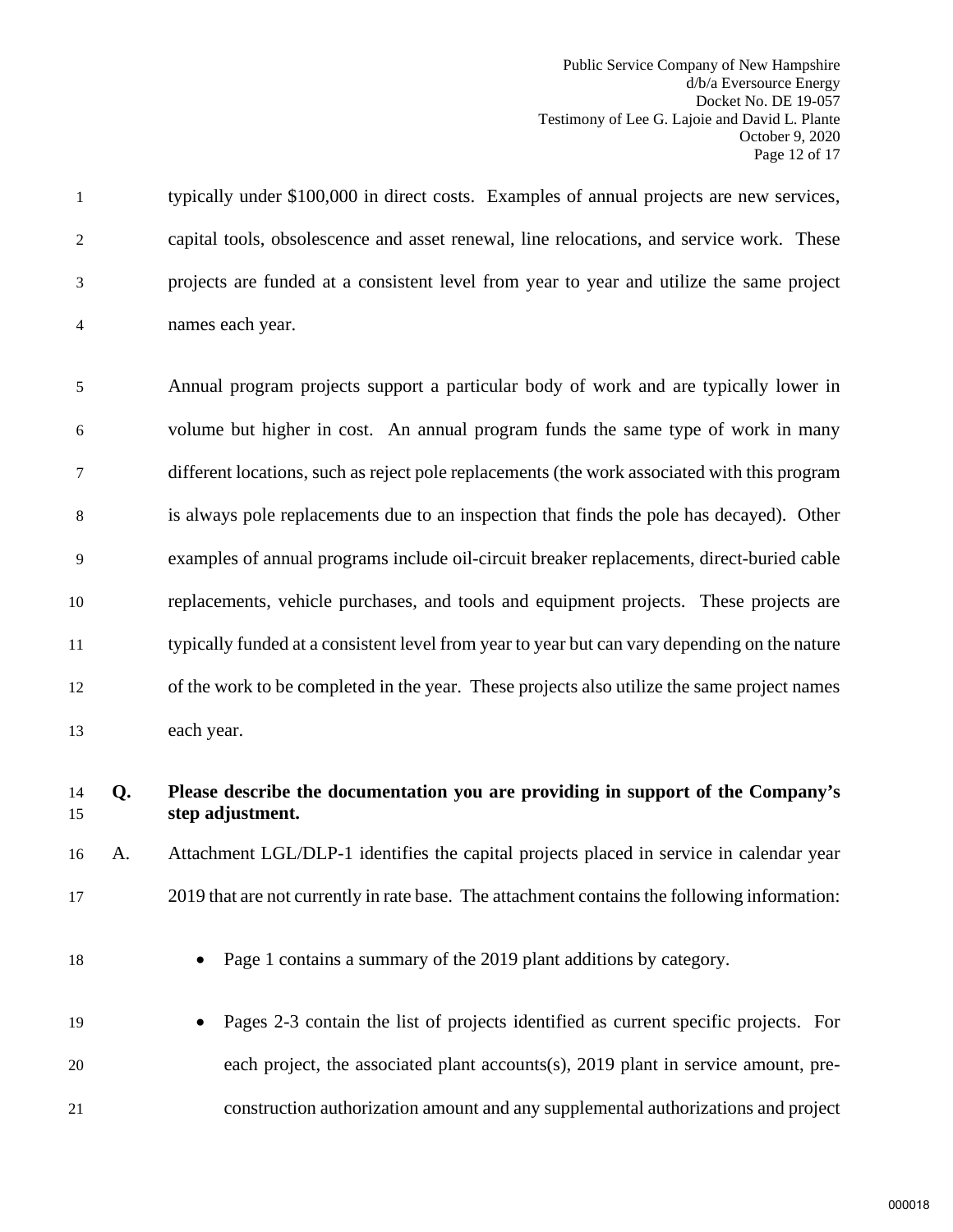Public Service Company of New Hampshire d/b/a Eversource Energy Docket No. DE 19-057 Testimony of Lee G. Lajoie and David L. Plante October 9, 2020 Page 12 of 17

1 typically under \$100,000 in direct costs. Examples of annual projects are new services, 2 capital tools, obsolescence and asset renewal, line relocations, and service work. These 3 projects are funded at a consistent level from year to year and utilize the same project 4 names each year.

5 Annual program projects support a particular body of work and are typically lower in 6 volume but higher in cost. An annual program funds the same type of work in many 7 different locations, such as reject pole replacements (the work associated with this program 8 is always pole replacements due to an inspection that finds the pole has decayed). Other 9 examples of annual programs include oil-circuit breaker replacements, direct-buried cable 10 replacements, vehicle purchases, and tools and equipment projects. These projects are 11 typically funded at a consistent level from year to year but can vary depending on the nature 12 of the work to be completed in the year. These projects also utilize the same project names 13 each year.

#### 14 **Q. Please describe the documentation you are providing in support of the Company's**  15 **step adjustment.**

16 A. Attachment LGL/DLP-1 identifies the capital projects placed in service in calendar year 17 2019 that are not currently in rate base. The attachment contains the following information:

18 • Page 1 contains a summary of the 2019 plant additions by category.

19 • Pages 2-3 contain the list of projects identified as current specific projects. For 20 each project, the associated plant accounts(s), 2019 plant in service amount, pre-21 construction authorization amount and any supplemental authorizations and project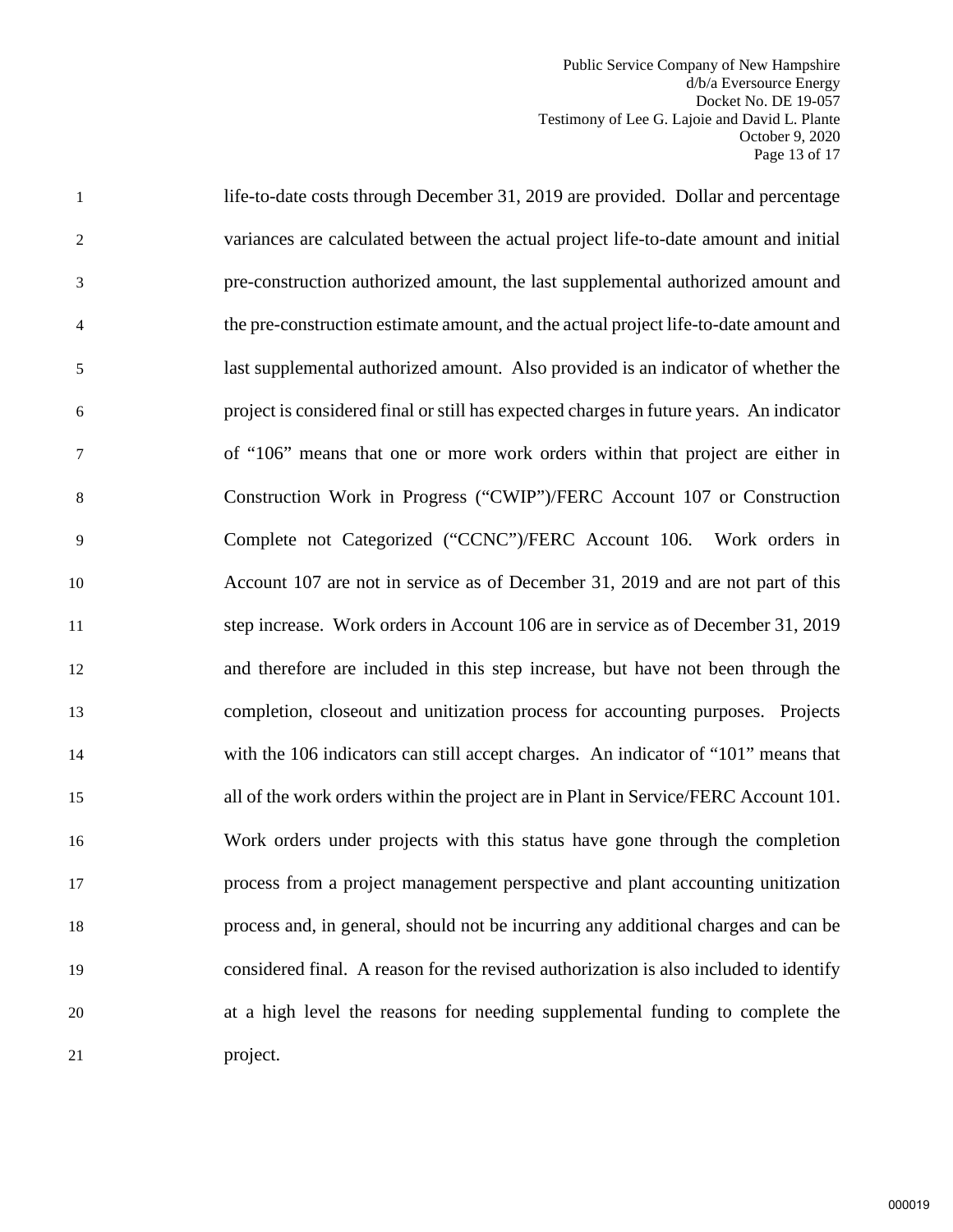Public Service Company of New Hampshire d/b/a Eversource Energy Docket No. DE 19-057 Testimony of Lee G. Lajoie and David L. Plante October 9, 2020 Page 13 of 17

1 life-to-date costs through December 31, 2019 are provided. Dollar and percentage 2 variances are calculated between the actual project life-to-date amount and initial 3 pre-construction authorized amount, the last supplemental authorized amount and 4 the pre-construction estimate amount, and the actual project life-to-date amount and 5 last supplemental authorized amount. Also provided is an indicator of whether the 6 project is considered final or still has expected charges in future years. An indicator 7 of "106" means that one or more work orders within that project are either in 8 Construction Work in Progress ("CWIP")/FERC Account 107 or Construction 9 Complete not Categorized ("CCNC")/FERC Account 106. Work orders in 10 Account 107 are not in service as of December 31, 2019 and are not part of this 11 step increase. Work orders in Account 106 are in service as of December 31, 2019 12 and therefore are included in this step increase, but have not been through the 13 completion, closeout and unitization process for accounting purposes. Projects 14 with the 106 indicators can still accept charges. An indicator of "101" means that 15 all of the work orders within the project are in Plant in Service/FERC Account 101. 16 Work orders under projects with this status have gone through the completion 17 process from a project management perspective and plant accounting unitization 18 process and, in general, should not be incurring any additional charges and can be 19 considered final. A reason for the revised authorization is also included to identify 20 at a high level the reasons for needing supplemental funding to complete the 21 project.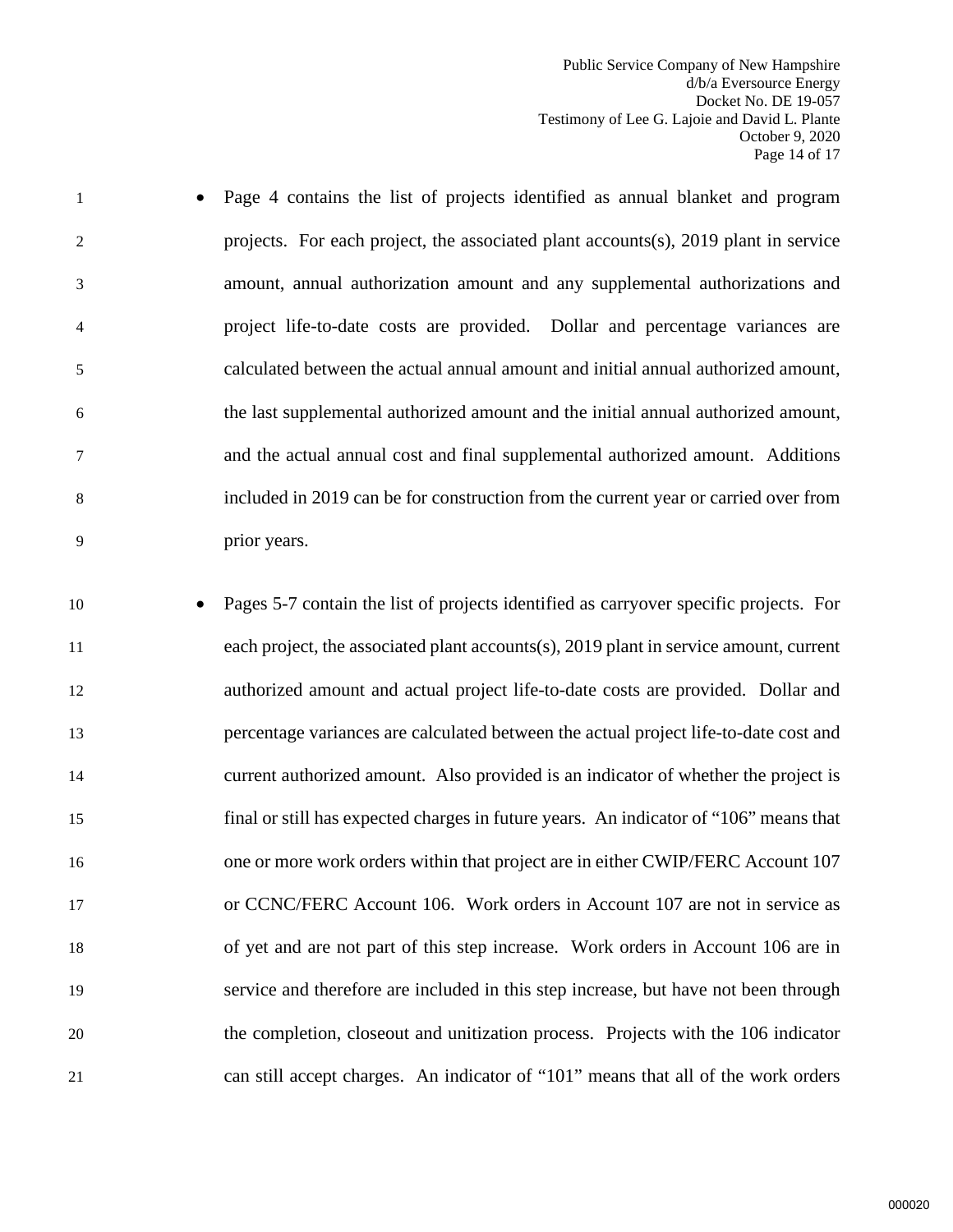Public Service Company of New Hampshire d/b/a Eversource Energy Docket No. DE 19-057 Testimony of Lee G. Lajoie and David L. Plante October 9, 2020 Page 14 of 17

- 1 Page 4 contains the list of projects identified as annual blanket and program 2 projects. For each project, the associated plant accounts(s), 2019 plant in service 3 amount, annual authorization amount and any supplemental authorizations and 4 project life-to-date costs are provided. Dollar and percentage variances are 5 calculated between the actual annual amount and initial annual authorized amount, 6 the last supplemental authorized amount and the initial annual authorized amount, 7 and the actual annual cost and final supplemental authorized amount. Additions 8 included in 2019 can be for construction from the current year or carried over from 9 prior years.
- 10 Pages 5-7 contain the list of projects identified as carryover specific projects. For 11 each project, the associated plant accounts(s), 2019 plant in service amount, current 12 authorized amount and actual project life-to-date costs are provided. Dollar and 13 percentage variances are calculated between the actual project life-to-date cost and 14 current authorized amount. Also provided is an indicator of whether the project is 15 final or still has expected charges in future years. An indicator of "106" means that 16 one or more work orders within that project are in either CWIP/FERC Account 107 17 or CCNC/FERC Account 106. Work orders in Account 107 are not in service as 18 of yet and are not part of this step increase. Work orders in Account 106 are in 19 service and therefore are included in this step increase, but have not been through 20 the completion, closeout and unitization process. Projects with the 106 indicator 21 can still accept charges. An indicator of "101" means that all of the work orders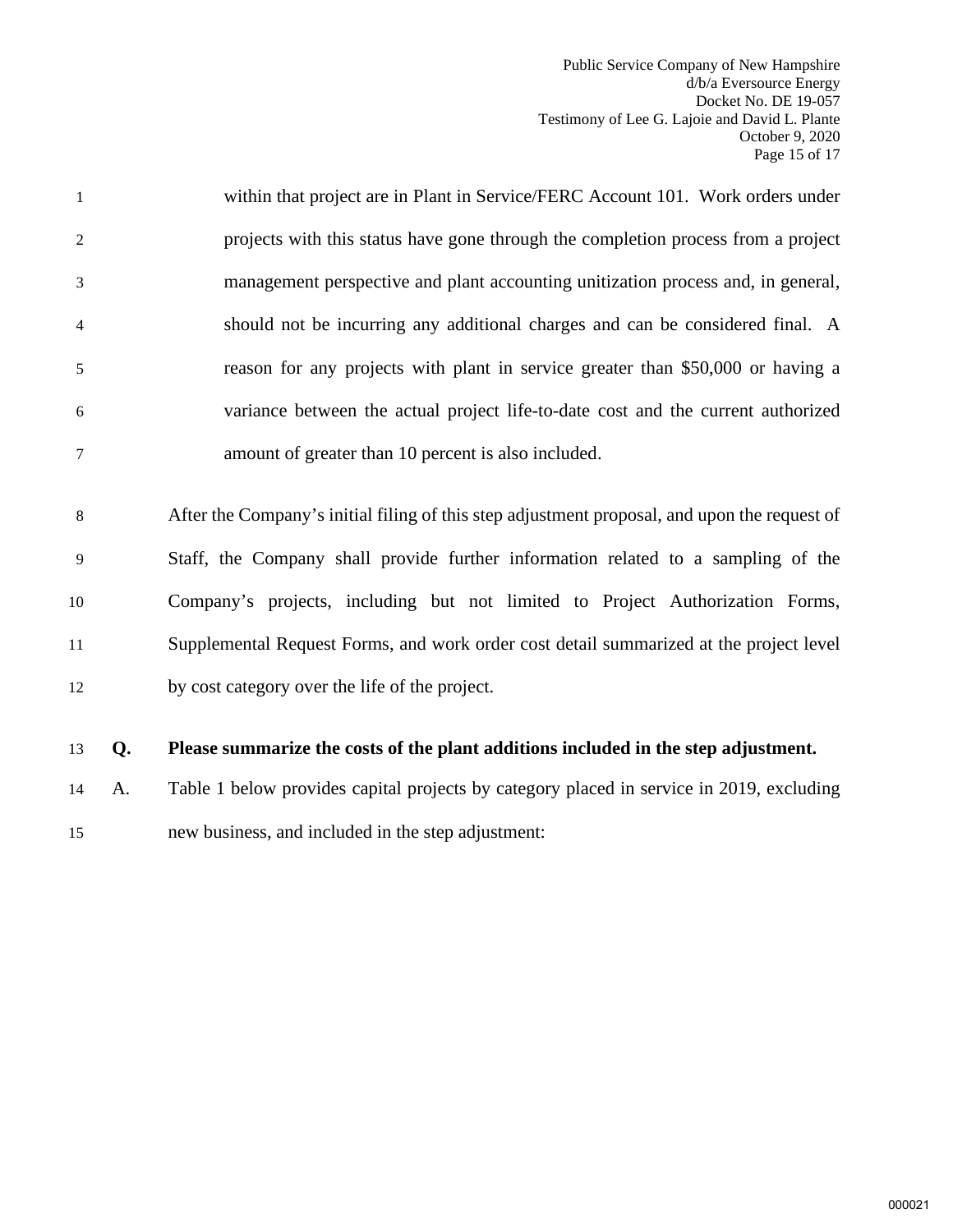Public Service Company of New Hampshire d/b/a Eversource Energy Docket No. DE 19-057 Testimony of Lee G. Lajoie and David L. Plante October 9, 2020 Page 15 of 17

- 1 within that project are in Plant in Service/FERC Account 101. Work orders under 2 projects with this status have gone through the completion process from a project 3 management perspective and plant accounting unitization process and, in general, 4 should not be incurring any additional charges and can be considered final. A 5 reason for any projects with plant in service greater than \$50,000 or having a 6 variance between the actual project life-to-date cost and the current authorized 7 amount of greater than 10 percent is also included.
- 8 After the Company's initial filing of this step adjustment proposal, and upon the request of 9 Staff, the Company shall provide further information related to a sampling of the 10 Company's projects, including but not limited to Project Authorization Forms, 11 Supplemental Request Forms, and work order cost detail summarized at the project level 12 by cost category over the life of the project.
- 13 **Q. Please summarize the costs of the plant additions included in the step adjustment.**
- 14 A. Table 1 below provides capital projects by category placed in service in 2019, excluding 15 new business, and included in the step adjustment: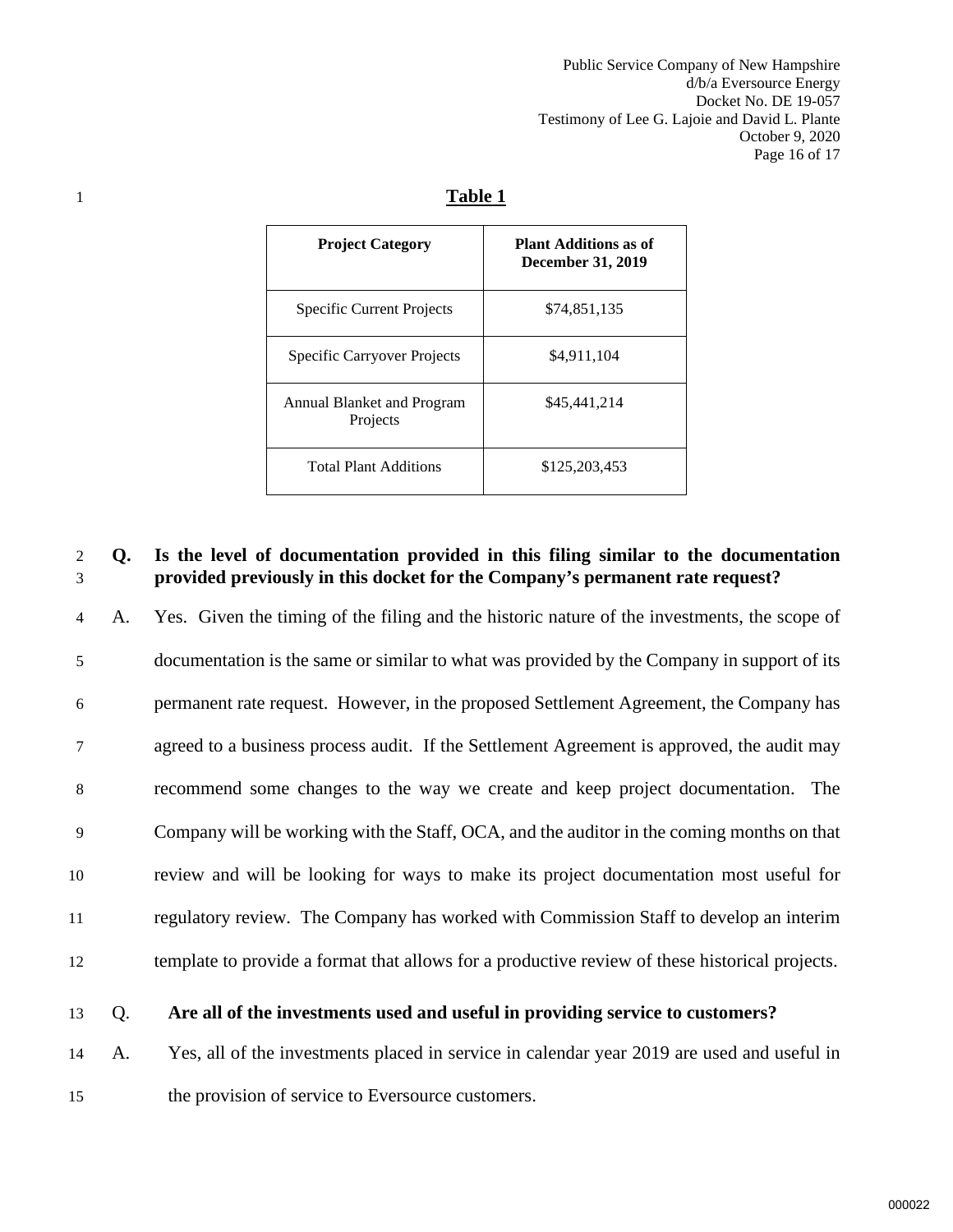Public Service Company of New Hampshire d/b/a Eversource Energy Docket No. DE 19-057 Testimony of Lee G. Lajoie and David L. Plante October 9, 2020 Page 16 of 17

# 1 **Table 1**

| <b>Project Category</b>                | <b>Plant Additions as of</b><br><b>December 31, 2019</b> |
|----------------------------------------|----------------------------------------------------------|
| Specific Current Projects              | \$74,851,135                                             |
| Specific Carryover Projects            | \$4,911,104                                              |
| Annual Blanket and Program<br>Projects | \$45,441,214                                             |
| <b>Total Plant Additions</b>           | \$125,203,453                                            |

#### 2 **Q. Is the level of documentation provided in this filing similar to the documentation**  3 **provided previously in this docket for the Company's permanent rate request?**

4 A. Yes. Given the timing of the filing and the historic nature of the investments, the scope of 5 documentation is the same or similar to what was provided by the Company in support of its 6 permanent rate request. However, in the proposed Settlement Agreement, the Company has 7 agreed to a business process audit. If the Settlement Agreement is approved, the audit may 8 recommend some changes to the way we create and keep project documentation. The 9 Company will be working with the Staff, OCA, and the auditor in the coming months on that 10 review and will be looking for ways to make its project documentation most useful for 11 regulatory review. The Company has worked with Commission Staff to develop an interim 12 template to provide a format that allows for a productive review of these historical projects.

#### 13 Q. **Are all of the investments used and useful in providing service to customers?**

14 A. Yes, all of the investments placed in service in calendar year 2019 are used and useful in 15 the provision of service to Eversource customers.